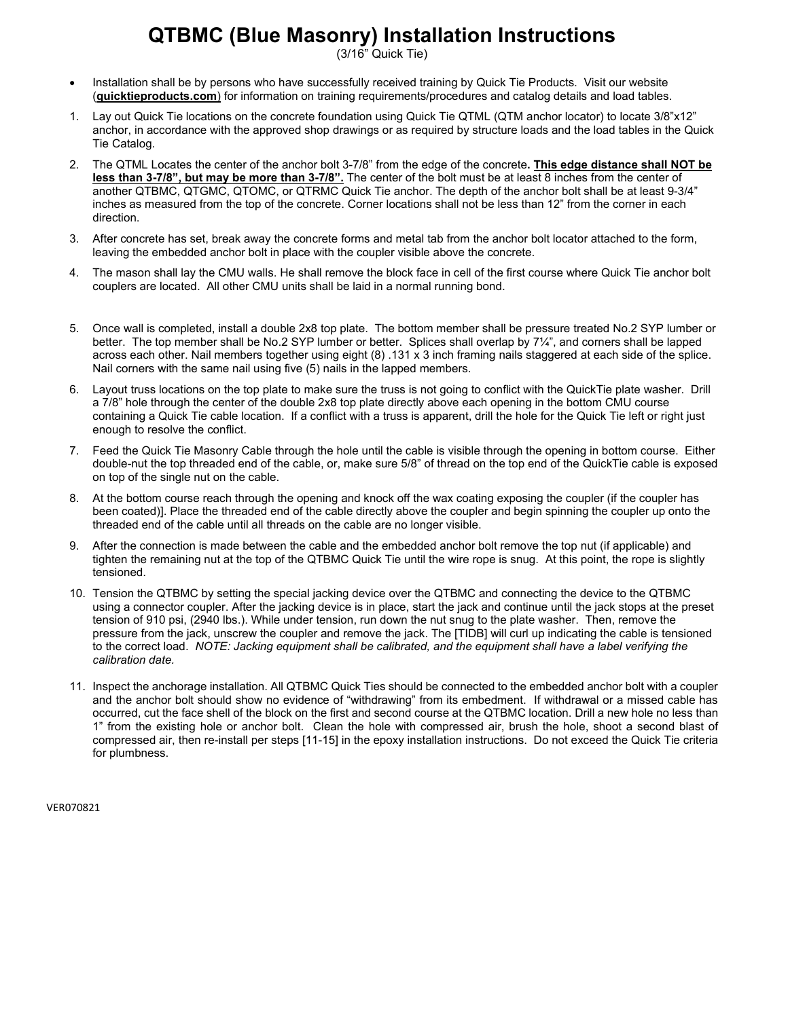# **QTBMC (Blue Masonry) Installation Instructions**

(3/16" Quick Tie)

- Installation shall be by persons who have successfully received training by Quick Tie Products. Visit our website (**quicktieproducts.com**) for information on training requirements/procedures and catalog details and load tables.
- 1. Lay out Quick Tie locations on the concrete foundation using Quick Tie QTML (QTM anchor locator) to locate 3/8"x12" anchor, in accordance with the approved shop drawings or as required by structure loads and the load tables in the Quick Tie Catalog.
- 2. The QTML Locates the center of the anchor bolt 3-7/8" from the edge of the concrete**. This edge distance shall NOT be less than 3-7/8", but may be more than 3-7/8".** The center of the bolt must be at least 8 inches from the center of another QTBMC, QTGMC, QTOMC, or QTRMC Quick Tie anchor. The depth of the anchor bolt shall be at least 9-3/4" inches as measured from the top of the concrete. Corner locations shall not be less than 12" from the corner in each direction.
- 3. After concrete has set, break away the concrete forms and metal tab from the anchor bolt locator attached to the form, leaving the embedded anchor bolt in place with the coupler visible above the concrete.
- 4. The mason shall lay the CMU walls. He shall remove the block face in cell of the first course where Quick Tie anchor bolt couplers are located. All other CMU units shall be laid in a normal running bond.
- 5. Once wall is completed, install a double 2x8 top plate. The bottom member shall be pressure treated No.2 SYP lumber or better. The top member shall be No.2 SYP lumber or better. Splices shall overlap by 7¼", and corners shall be lapped across each other. Nail members together using eight (8) .131 x 3 inch framing nails staggered at each side of the splice. Nail corners with the same nail using five (5) nails in the lapped members.
- 6. Layout truss locations on the top plate to make sure the truss is not going to conflict with the QuickTie plate washer. Drill a 7/8" hole through the center of the double 2x8 top plate directly above each opening in the bottom CMU course containing a Quick Tie cable location. If a conflict with a truss is apparent, drill the hole for the Quick Tie left or right just enough to resolve the conflict.
- 7. Feed the Quick Tie Masonry Cable through the hole until the cable is visible through the opening in bottom course. Either double-nut the top threaded end of the cable, or, make sure 5/8" of thread on the top end of the QuickTie cable is exposed on top of the single nut on the cable.
- 8. At the bottom course reach through the opening and knock off the wax coating exposing the coupler (if the coupler has been coated)]. Place the threaded end of the cable directly above the coupler and begin spinning the coupler up onto the threaded end of the cable until all threads on the cable are no longer visible.
- 9. After the connection is made between the cable and the embedded anchor bolt remove the top nut (if applicable) and tighten the remaining nut at the top of the QTBMC Quick Tie until the wire rope is snug. At this point, the rope is slightly tensioned.
- 10. Tension the QTBMC by setting the special jacking device over the QTBMC and connecting the device to the QTBMC using a connector coupler. After the jacking device is in place, start the jack and continue until the jack stops at the preset tension of 910 psi, (2940 lbs.). While under tension, run down the nut snug to the plate washer. Then, remove the pressure from the jack, unscrew the coupler and remove the jack. The [TIDB] will curl up indicating the cable is tensioned to the correct load. *NOTE: Jacking equipment shall be calibrated, and the equipment shall have a label verifying the calibration date.*
- 11. Inspect the anchorage installation. All QTBMC Quick Ties should be connected to the embedded anchor bolt with a coupler and the anchor bolt should show no evidence of "withdrawing" from its embedment. If withdrawal or a missed cable has occurred, cut the face shell of the block on the first and second course at the QTBMC location. Drill a new hole no less than 1" from the existing hole or anchor bolt. Clean the hole with compressed air, brush the hole, shoot a second blast of compressed air, then re-install per steps [11-15] in the epoxy installation instructions. Do not exceed the Quick Tie criteria for plumbness.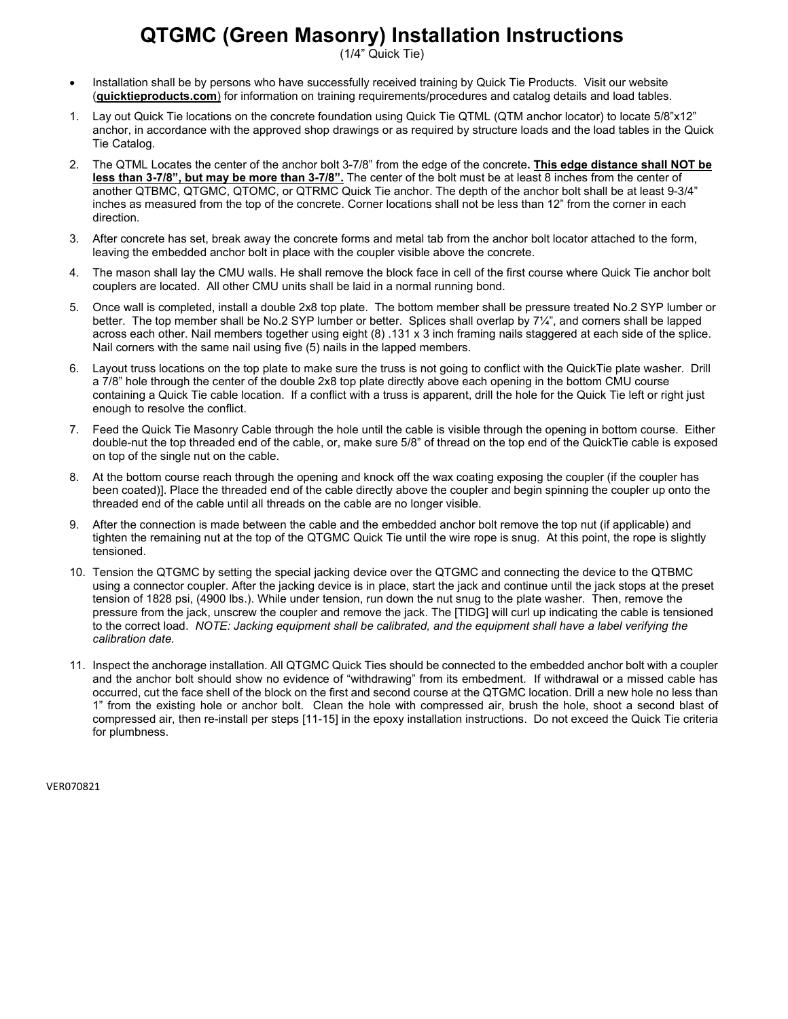### **QTGMC (Green Masonry) Installation Instructions**

(1/4" Quick Tie)

- Installation shall be by persons who have successfully received training by Quick Tie Products. Visit our website (**quicktieproducts.com**) for information on training requirements/procedures and catalog details and load tables.
- 1. Lay out Quick Tie locations on the concrete foundation using Quick Tie QTML (QTM anchor locator) to locate 5/8"x12" anchor, in accordance with the approved shop drawings or as required by structure loads and the load tables in the Quick Tie Catalog.
- 2. The QTML Locates the center of the anchor bolt 3-7/8" from the edge of the concrete**. This edge distance shall NOT be less than 3-7/8", but may be more than 3-7/8".** The center of the bolt must be at least 8 inches from the center of another QTBMC, QTGMC, QTOMC, or QTRMC Quick Tie anchor. The depth of the anchor bolt shall be at least 9-3/4" inches as measured from the top of the concrete. Corner locations shall not be less than 12" from the corner in each direction.
- 3. After concrete has set, break away the concrete forms and metal tab from the anchor bolt locator attached to the form, leaving the embedded anchor bolt in place with the coupler visible above the concrete.
- 4. The mason shall lay the CMU walls. He shall remove the block face in cell of the first course where Quick Tie anchor bolt couplers are located. All other CMU units shall be laid in a normal running bond.
- 5. Once wall is completed, install a double 2x8 top plate. The bottom member shall be pressure treated No.2 SYP lumber or better. The top member shall be No.2 SYP lumber or better. Splices shall overlap by 7¼", and corners shall be lapped across each other. Nail members together using eight (8) .131 x 3 inch framing nails staggered at each side of the splice. Nail corners with the same nail using five (5) nails in the lapped members.
- 6. Layout truss locations on the top plate to make sure the truss is not going to conflict with the QuickTie plate washer. Drill a 7/8" hole through the center of the double 2x8 top plate directly above each opening in the bottom CMU course containing a Quick Tie cable location. If a conflict with a truss is apparent, drill the hole for the Quick Tie left or right just enough to resolve the conflict.
- 7. Feed the Quick Tie Masonry Cable through the hole until the cable is visible through the opening in bottom course. Either double-nut the top threaded end of the cable, or, make sure 5/8" of thread on the top end of the QuickTie cable is exposed on top of the single nut on the cable.
- 8. At the bottom course reach through the opening and knock off the wax coating exposing the coupler (if the coupler has been coated)]. Place the threaded end of the cable directly above the coupler and begin spinning the coupler up onto the threaded end of the cable until all threads on the cable are no longer visible.
- 9. After the connection is made between the cable and the embedded anchor bolt remove the top nut (if applicable) and tighten the remaining nut at the top of the QTGMC Quick Tie until the wire rope is snug. At this point, the rope is slightly tensioned.
- 10. Tension the QTGMC by setting the special jacking device over the QTGMC and connecting the device to the QTBMC using a connector coupler. After the jacking device is in place, start the jack and continue until the jack stops at the preset tension of 1828 psi, (4900 lbs.). While under tension, run down the nut snug to the plate washer. Then, remove the pressure from the jack, unscrew the coupler and remove the jack. The [TIDG] will curl up indicating the cable is tensioned to the correct load. *NOTE: Jacking equipment shall be calibrated, and the equipment shall have a label verifying the calibration date.*
- 11. Inspect the anchorage installation. All QTGMC Quick Ties should be connected to the embedded anchor bolt with a coupler and the anchor bolt should show no evidence of "withdrawing" from its embedment. If withdrawal or a missed cable has occurred, cut the face shell of the block on the first and second course at the QTGMC location. Drill a new hole no less than 1" from the existing hole or anchor bolt. Clean the hole with compressed air, brush the hole, shoot a second blast of compressed air, then re-install per steps [11-15] in the epoxy installation instructions. Do not exceed the Quick Tie criteria for plumbness.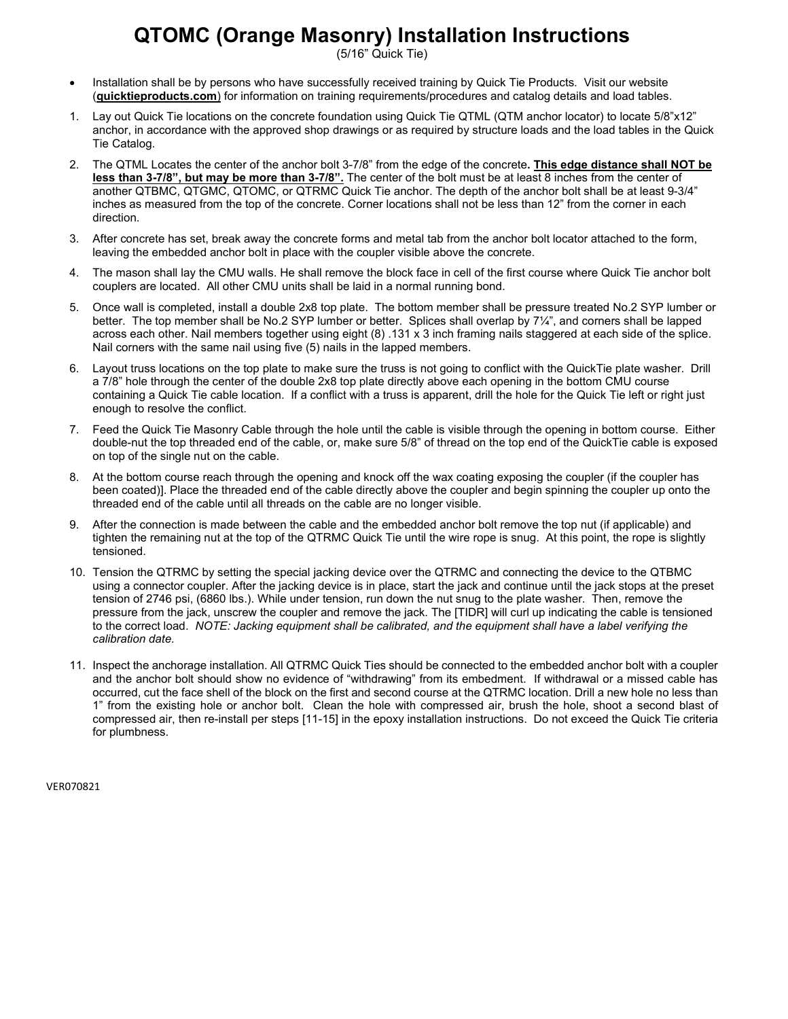### **QTOMC (Orange Masonry) Installation Instructions**

(5/16" Quick Tie)

- Installation shall be by persons who have successfully received training by Quick Tie Products. Visit our website (**quicktieproducts.com**) for information on training requirements/procedures and catalog details and load tables.
- 1. Lay out Quick Tie locations on the concrete foundation using Quick Tie QTML (QTM anchor locator) to locate 5/8"x12" anchor, in accordance with the approved shop drawings or as required by structure loads and the load tables in the Quick Tie Catalog.
- 2. The QTML Locates the center of the anchor bolt 3-7/8" from the edge of the concrete**. This edge distance shall NOT be less than 3-7/8", but may be more than 3-7/8".** The center of the bolt must be at least 8 inches from the center of another QTBMC, QTGMC, QTOMC, or QTRMC Quick Tie anchor. The depth of the anchor bolt shall be at least 9-3/4" inches as measured from the top of the concrete. Corner locations shall not be less than 12" from the corner in each direction.
- 3. After concrete has set, break away the concrete forms and metal tab from the anchor bolt locator attached to the form, leaving the embedded anchor bolt in place with the coupler visible above the concrete.
- 4. The mason shall lay the CMU walls. He shall remove the block face in cell of the first course where Quick Tie anchor bolt couplers are located. All other CMU units shall be laid in a normal running bond.
- 5. Once wall is completed, install a double 2x8 top plate. The bottom member shall be pressure treated No.2 SYP lumber or better. The top member shall be No.2 SYP lumber or better. Splices shall overlap by 7¼", and corners shall be lapped across each other. Nail members together using eight (8) .131 x 3 inch framing nails staggered at each side of the splice. Nail corners with the same nail using five (5) nails in the lapped members.
- 6. Layout truss locations on the top plate to make sure the truss is not going to conflict with the QuickTie plate washer. Drill a 7/8" hole through the center of the double 2x8 top plate directly above each opening in the bottom CMU course containing a Quick Tie cable location. If a conflict with a truss is apparent, drill the hole for the Quick Tie left or right just enough to resolve the conflict.
- 7. Feed the Quick Tie Masonry Cable through the hole until the cable is visible through the opening in bottom course. Either double-nut the top threaded end of the cable, or, make sure 5/8" of thread on the top end of the QuickTie cable is exposed on top of the single nut on the cable.
- 8. At the bottom course reach through the opening and knock off the wax coating exposing the coupler (if the coupler has been coated)]. Place the threaded end of the cable directly above the coupler and begin spinning the coupler up onto the threaded end of the cable until all threads on the cable are no longer visible.
- 9. After the connection is made between the cable and the embedded anchor bolt remove the top nut (if applicable) and tighten the remaining nut at the top of the QTRMC Quick Tie until the wire rope is snug. At this point, the rope is slightly tensioned.
- 10. Tension the QTRMC by setting the special jacking device over the QTRMC and connecting the device to the QTBMC using a connector coupler. After the jacking device is in place, start the jack and continue until the jack stops at the preset tension of 2746 psi, (6860 lbs.). While under tension, run down the nut snug to the plate washer. Then, remove the pressure from the jack, unscrew the coupler and remove the jack. The [TIDR] will curl up indicating the cable is tensioned to the correct load. *NOTE: Jacking equipment shall be calibrated, and the equipment shall have a label verifying the calibration date.*
- 11. Inspect the anchorage installation. All QTRMC Quick Ties should be connected to the embedded anchor bolt with a coupler and the anchor bolt should show no evidence of "withdrawing" from its embedment. If withdrawal or a missed cable has occurred, cut the face shell of the block on the first and second course at the QTRMC location. Drill a new hole no less than 1" from the existing hole or anchor bolt. Clean the hole with compressed air, brush the hole, shoot a second blast of compressed air, then re-install per steps [11-15] in the epoxy installation instructions. Do not exceed the Quick Tie criteria for plumbness.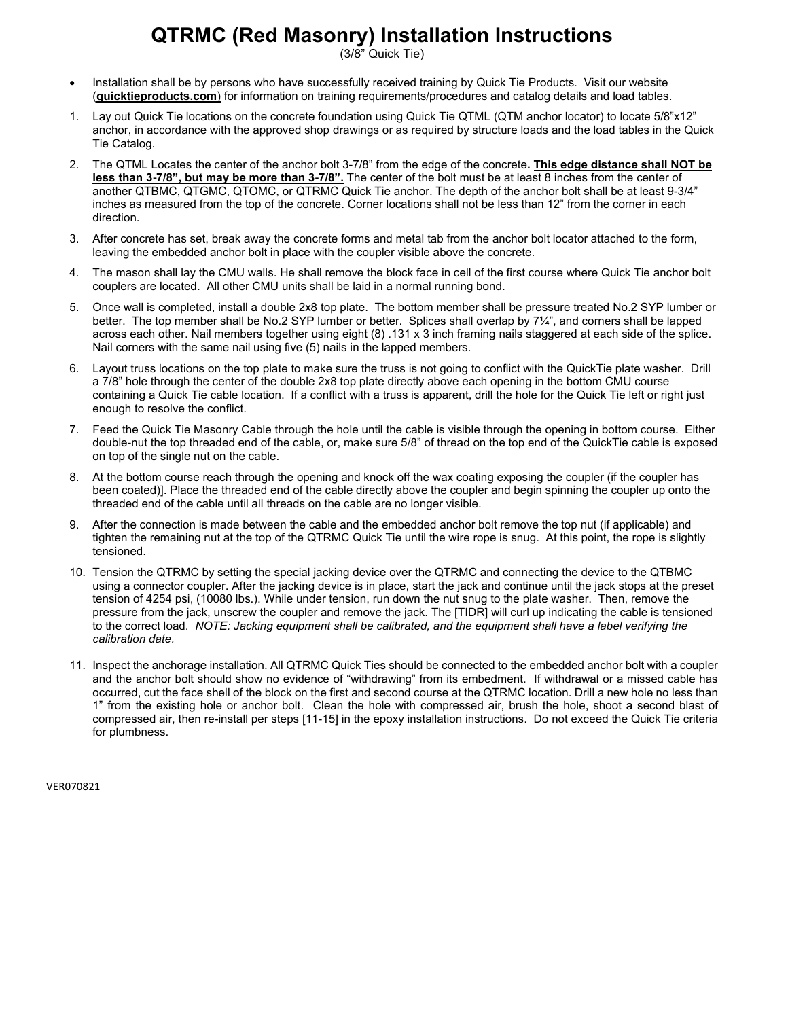## **QTRMC (Red Masonry) Installation Instructions**

(3/8" Quick Tie)

- Installation shall be by persons who have successfully received training by Quick Tie Products. Visit our website (**quicktieproducts.com**) for information on training requirements/procedures and catalog details and load tables.
- 1. Lay out Quick Tie locations on the concrete foundation using Quick Tie QTML (QTM anchor locator) to locate 5/8"x12" anchor, in accordance with the approved shop drawings or as required by structure loads and the load tables in the Quick Tie Catalog.
- 2. The QTML Locates the center of the anchor bolt 3-7/8" from the edge of the concrete**. This edge distance shall NOT be less than 3-7/8", but may be more than 3-7/8".** The center of the bolt must be at least 8 inches from the center of another QTBMC, QTGMC, QTOMC, or QTRMC Quick Tie anchor. The depth of the anchor bolt shall be at least 9-3/4" inches as measured from the top of the concrete. Corner locations shall not be less than 12" from the corner in each direction.
- 3. After concrete has set, break away the concrete forms and metal tab from the anchor bolt locator attached to the form, leaving the embedded anchor bolt in place with the coupler visible above the concrete.
- 4. The mason shall lay the CMU walls. He shall remove the block face in cell of the first course where Quick Tie anchor bolt couplers are located. All other CMU units shall be laid in a normal running bond.
- 5. Once wall is completed, install a double 2x8 top plate. The bottom member shall be pressure treated No.2 SYP lumber or better. The top member shall be No.2 SYP lumber or better. Splices shall overlap by 7¼", and corners shall be lapped across each other. Nail members together using eight (8) .131 x 3 inch framing nails staggered at each side of the splice. Nail corners with the same nail using five (5) nails in the lapped members.
- 6. Layout truss locations on the top plate to make sure the truss is not going to conflict with the QuickTie plate washer. Drill a 7/8" hole through the center of the double 2x8 top plate directly above each opening in the bottom CMU course containing a Quick Tie cable location. If a conflict with a truss is apparent, drill the hole for the Quick Tie left or right just enough to resolve the conflict.
- 7. Feed the Quick Tie Masonry Cable through the hole until the cable is visible through the opening in bottom course. Either double-nut the top threaded end of the cable, or, make sure 5/8" of thread on the top end of the QuickTie cable is exposed on top of the single nut on the cable.
- 8. At the bottom course reach through the opening and knock off the wax coating exposing the coupler (if the coupler has been coated)]. Place the threaded end of the cable directly above the coupler and begin spinning the coupler up onto the threaded end of the cable until all threads on the cable are no longer visible.
- 9. After the connection is made between the cable and the embedded anchor bolt remove the top nut (if applicable) and tighten the remaining nut at the top of the QTRMC Quick Tie until the wire rope is snug. At this point, the rope is slightly tensioned.
- 10. Tension the QTRMC by setting the special jacking device over the QTRMC and connecting the device to the QTBMC using a connector coupler. After the jacking device is in place, start the jack and continue until the jack stops at the preset tension of 4254 psi, (10080 lbs.). While under tension, run down the nut snug to the plate washer. Then, remove the pressure from the jack, unscrew the coupler and remove the jack. The [TIDR] will curl up indicating the cable is tensioned to the correct load. *NOTE: Jacking equipment shall be calibrated, and the equipment shall have a label verifying the calibration date.*
- 11. Inspect the anchorage installation. All QTRMC Quick Ties should be connected to the embedded anchor bolt with a coupler and the anchor bolt should show no evidence of "withdrawing" from its embedment. If withdrawal or a missed cable has occurred, cut the face shell of the block on the first and second course at the QTRMC location. Drill a new hole no less than 1" from the existing hole or anchor bolt. Clean the hole with compressed air, brush the hole, shoot a second blast of compressed air, then re-install per steps [11-15] in the epoxy installation instructions. Do not exceed the Quick Tie criteria for plumbness.